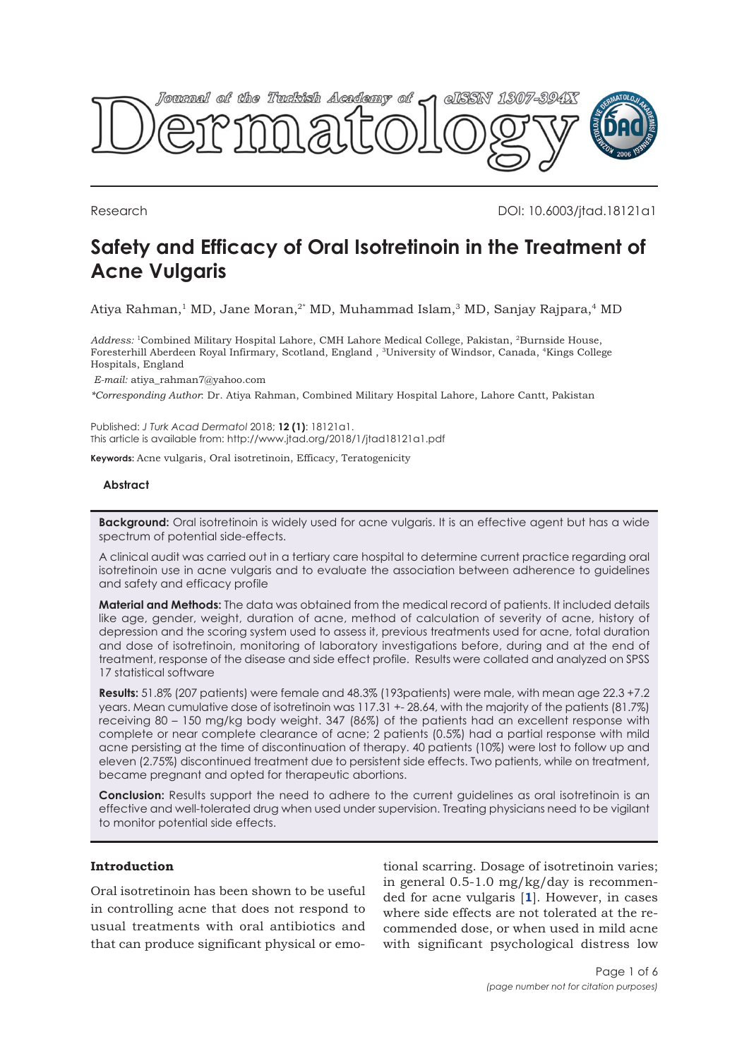

Research DOI: 10.6003/jtad.18121a1

# **Safety and Efficacy of Oral Isotretinoin in the Treatment of Acne Vulgaris**

Atiya Rahman,<sup>1</sup> MD, Jane Moran,<sup>2\*</sup> MD, Muhammad Islam,<sup>3</sup> MD, Sanjay Rajpara,<sup>4</sup> MD

Address: <sup>1</sup>Combined Military Hospital Lahore, CMH Lahore Medical College, Pakistan, <sup>2</sup>Burnside House, Foresterhill Aberdeen Royal Infirmary, Scotland, England , <sup>3</sup>University of Windsor, Canada, <sup>4</sup>Kings College Hospitals, England

*E-mail:* atiya\_rahman7@yahoo.com

*\*Corresponding Author*: Dr. Atiya Rahman, Combined Military Hospital Lahore, Lahore Cantt, Pakistan

Published: *J Turk Acad Dermatol* 2018; **12 (1)**: 18121a1. This article is available from: http://www.jtad.org/2018/1/jtad18121a1.pdf

**Keywords:** Acne vulgaris, Oral isotretinoin, Efficacy, Teratogenicity

### **Abstract**

**Background:** Oral isotretinoin is widely used for acne vulgaris. It is an effective agent but has a wide spectrum of potential side-effects.

A clinical audit was carried out in a tertiary care hospital to determine current practice regarding oral isotretinoin use in acne vulgaris and to evaluate the association between adherence to guidelines and safety and efficacy profile

**Material and Methods:** The data was obtained from the medical record of patients. It included details like age, gender, weight, duration of acne, method of calculation of severity of acne, history of depression and the scoring system used to assess it, previous treatments used for acne, total duration and dose of isotretinoin, monitoring of laboratory investigations before, during and at the end of treatment, response of the disease and side effect profile. Results were collated and analyzed on SPSS 17 statistical software

**Results:** 51.8% (207 patients) were female and 48.3% (193patients) were male, with mean age 22.3 +7.2 years. Mean cumulative dose of isotretinoin was 117.31 +- 28.64, with the majority of the patients (81.7%) receiving 80 – 150 mg/kg body weight. 347 (86%) of the patients had an excellent response with complete or near complete clearance of acne; 2 patients (0.5%) had a partial response with mild acne persisting at the time of discontinuation of therapy. 40 patients (10%) were lost to follow up and eleven (2.75%) discontinued treatment due to persistent side effects. Two patients, while on treatment, became pregnant and opted for therapeutic abortions.

**Conclusion:** Results support the need to adhere to the current guidelines as oral isotretinoin is an effective and well-tolerated drug when used under supervision. Treating physicians need to be vigilant to monitor potential side effects.

# **Introduction**

Oral isotretinoin has been shown to be useful in controlling acne that does not respond to usual treatments with oral antibiotics and that can produce significant physical or emo-

tional scarring. Dosage of isotretinoin varies; in general 0.5-1.0 mg/kg/day is recommended for acne vulgaris [**[1](#page-4-0)**]. However, in cases where side effects are not tolerated at the recommended dose, or when used in mild acne with significant psychological distress low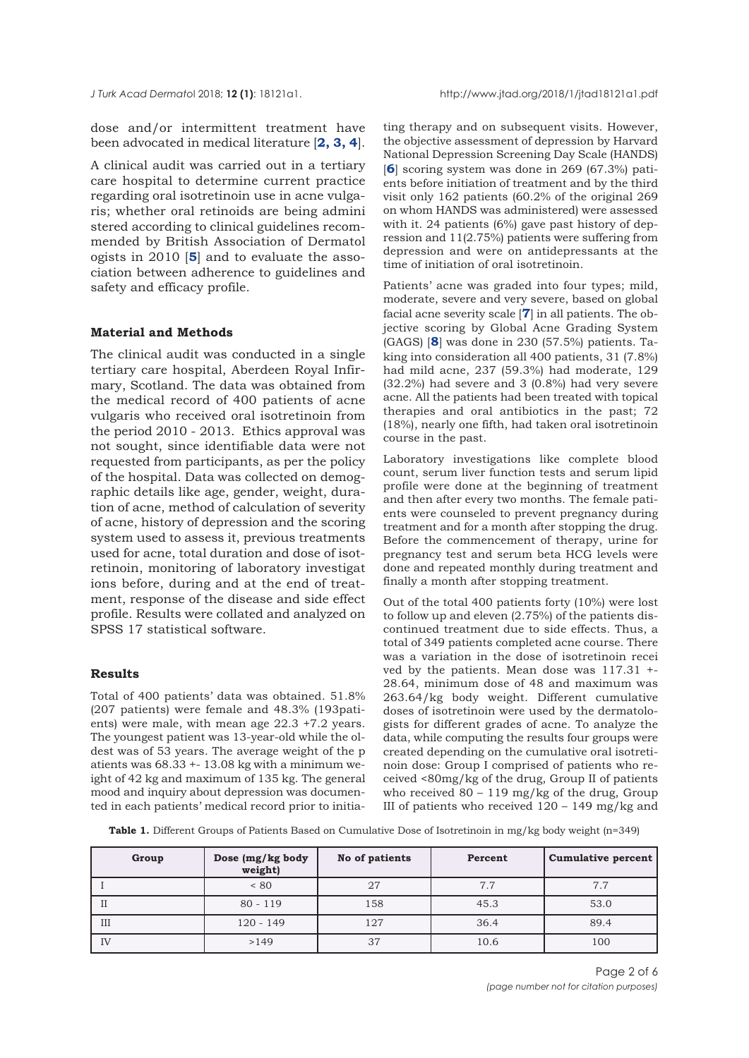<span id="page-1-0"></span>dose and/or intermittent treatment have been advocated in medical literature [**[2, 3, 4](#page-4-0)**].

A clinical audit was carried out in a tertiary care hospital to determine current practice regarding oral isotretinoin use in acne vulgaris; whether oral retinoids are being admini stered according to clinical guidelines recommended by British Association of Dermatol ogists in 2010 [**[5](#page-4-0)**] and to evaluate the association between adherence to guidelines and safety and efficacy profile.

## **Material and Methods**

The clinical audit was conducted in a single tertiary care hospital, Aberdeen Royal Infirmary, Scotland. The data was obtained from the medical record of 400 patients of acne vulgaris who received oral isotretinoin from the period 2010 - 2013. Ethics approval was not sought, since identifiable data were not requested from participants, as per the policy of the hospital. Data was collected on demographic details like age, gender, weight, duration of acne, method of calculation of severity of acne, history of depression and the scoring system used to assess it, previous treatments used for acne, total duration and dose of isotretinoin, monitoring of laboratory investigat ions before, during and at the end of treatment, response of the disease and side effect profile. Results were collated and analyzed on SPSS 17 statistical software.

#### **Results**

Total of 400 patients' data was obtained. 51.8% (207 patients) were female and 48.3% (193patients) were male, with mean age 22.3 +7.2 years. The youngest patient was 13-year-old while the oldest was of 53 years. The average weight of the p atients was 68.33 +- 13.08 kg with a minimum weight of 42 kg and maximum of 135 kg. The general mood and inquiry about depression was documented in each patients' medical record prior to initiating therapy and on subsequent visits. However, the objective assessment of depression by Harvard National Depression Screening Day Scale (HANDS) [**[6](#page-4-0)**] scoring system was done in 269 (67.3%) patients before initiation of treatment and by the third visit only 162 patients (60.2% of the original 269 on whom HANDS was administered) were assessed with it. 24 patients (6%) gave past history of depression and 11(2.75%) patients were suffering from depression and were on antidepressants at the time of initiation of oral isotretinoin.

Patients' acne was graded into four types; mild, moderate, severe and very severe, based on global facial acne severity scale [**[7](#page-4-0)**] in all patients. The objective scoring by Global Acne Grading System (GAGS) [**[8](#page-4-0)**] was done in 230 (57.5%) patients. Taking into consideration all 400 patients, 31 (7.8%) had mild acne, 237 (59.3%) had moderate, 129 (32.2%) had severe and 3 (0.8%) had very severe acne. All the patients had been treated with topical therapies and oral antibiotics in the past; 72 (18%), nearly one fifth, had taken oral isotretinoin course in the past.

Laboratory investigations like complete blood count, serum liver function tests and serum lipid profile were done at the beginning of treatment and then after every two months. The female patients were counseled to prevent pregnancy during treatment and for a month after stopping the drug. Before the commencement of therapy, urine for pregnancy test and serum beta HCG levels were done and repeated monthly during treatment and finally a month after stopping treatment.

Out of the total 400 patients forty (10%) were lost to follow up and eleven (2.75%) of the patients discontinued treatment due to side effects. Thus, a total of 349 patients completed acne course. There was a variation in the dose of isotretinoin recei ved by the patients. Mean dose was 117.31 +- 28.64, minimum dose of 48 and maximum was 263.64/kg body weight. Different cumulative doses of isotretinoin were used by the dermatologists for different grades of acne. To analyze the data, while computing the results four groups were created depending on the cumulative oral isotretinoin dose: Group I comprised of patients who received <80mg/kg of the drug, Group II of patients who received  $80 - 119$  mg/kg of the drug, Group III of patients who received  $120 - 149$  mg/kg and

**Table 1.** Different Groups of Patients Based on Cumulative Dose of Isotretinoin in mg/kg body weight (n=349)

| Group | Dose (mg/kg body<br>weight) | No of patients | Percent | <b>Cumulative percent</b> |
|-------|-----------------------------|----------------|---------|---------------------------|
|       | < 80                        | 27             | 7.7     | 7.7                       |
| Н     | $80 - 119$                  | 158            | 45.3    | 53.0                      |
| III   | $120 - 149$                 | 127            | 36.4    | 89.4                      |
| IV    | >149                        | 37             | 10.6    | 100                       |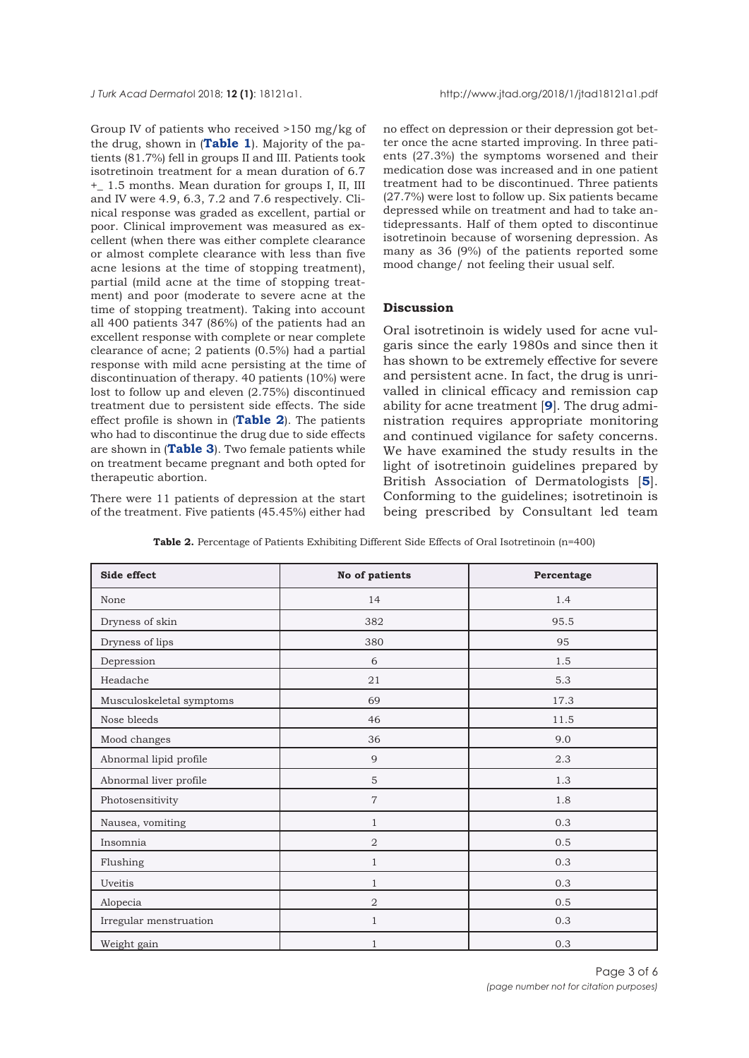Group IV of patients who received >150 mg/kg of the drug, shown in (**[Table 1](#page-1-0)**). Majority of the patients (81.7%) fell in groups II and III. Patients took isotretinoin treatment for a mean duration of 6.7 +\_ 1.5 months. Mean duration for groups I, II, III and IV were 4.9, 6.3, 7.2 and 7.6 respectively. Clinical response was graded as excellent, partial or poor. Clinical improvement was measured as excellent (when there was either complete clearance or almost complete clearance with less than five acne lesions at the time of stopping treatment), partial (mild acne at the time of stopping treatment) and poor (moderate to severe acne at the time of stopping treatment). Taking into account all 400 patients 347 (86%) of the patients had an excellent response with complete or near complete clearance of acne; 2 patients (0.5%) had a partial response with mild acne persisting at the time of discontinuation of therapy. 40 patients (10%) were lost to follow up and eleven (2.75%) discontinued treatment due to persistent side effects. The side effect profile is shown in (**Table 2**). The patients who had to discontinue the drug due to side effects are shown in (**[Table 3](#page-3-0)**). Two female patients while on treatment became pregnant and both opted for therapeutic abortion.

There were 11 patients of depression at the start of the treatment. Five patients (45.45%) either had

no effect on depression or their depression got better once the acne started improving. In three patients (27.3%) the symptoms worsened and their medication dose was increased and in one patient treatment had to be discontinued. Three patients (27.7%) were lost to follow up. Six patients became depressed while on treatment and had to take antidepressants. Half of them opted to discontinue isotretinoin because of worsening depression. As many as 36 (9%) of the patients reported some mood change/ not feeling their usual self.

## **Discussion**

Oral isotretinoin is widely used for acne vulgaris since the early 1980s and since then it has shown to be extremely effective for severe and persistent acne. In fact, the drug is unrivalled in clinical efficacy and remission cap ability for acne treatment [**[9](#page-4-0)**]. The drug administration requires appropriate monitoring and continued vigilance for safety concerns. We have examined the study results in the light of isotretinoin guidelines prepared by British Association of Dermatologists [**[5](#page-4-0)**]. Conforming to the guidelines; isotretinoin is being prescribed by Consultant led team

| Side effect              | No of patients | Percentage |
|--------------------------|----------------|------------|
| None                     | 14             | 1.4        |
| Dryness of skin          | 382            | 95.5       |
| Dryness of lips          | 380            | 95         |
| Depression               | 6              | 1.5        |
| Headache                 | 21             | 5.3        |
| Musculoskeletal symptoms | 69             | 17.3       |
| Nose bleeds              | 46             | 11.5       |
| Mood changes             | 36             | 9.0        |
| Abnormal lipid profile   | 9              | 2.3        |
| Abnormal liver profile   | 5              | 1.3        |
| Photosensitivity         | $\overline{7}$ | 1.8        |
| Nausea, vomiting         | $\mathbf{1}$   | 0.3        |
| Insomnia                 | $\overline{2}$ | 0.5        |
| Flushing                 | $\mathbf{1}$   | 0.3        |
| Uveitis                  | $\mathbf{1}$   | 0.3        |
| Alopecia                 | 2              | 0.5        |
| Irregular menstruation   | $\mathbf{1}$   | 0.3        |
| Weight gain              | $\mathbf{1}$   | 0.3        |

Table 2. Percentage of Patients Exhibiting Different Side Effects of Oral Isotretinoin (n=400)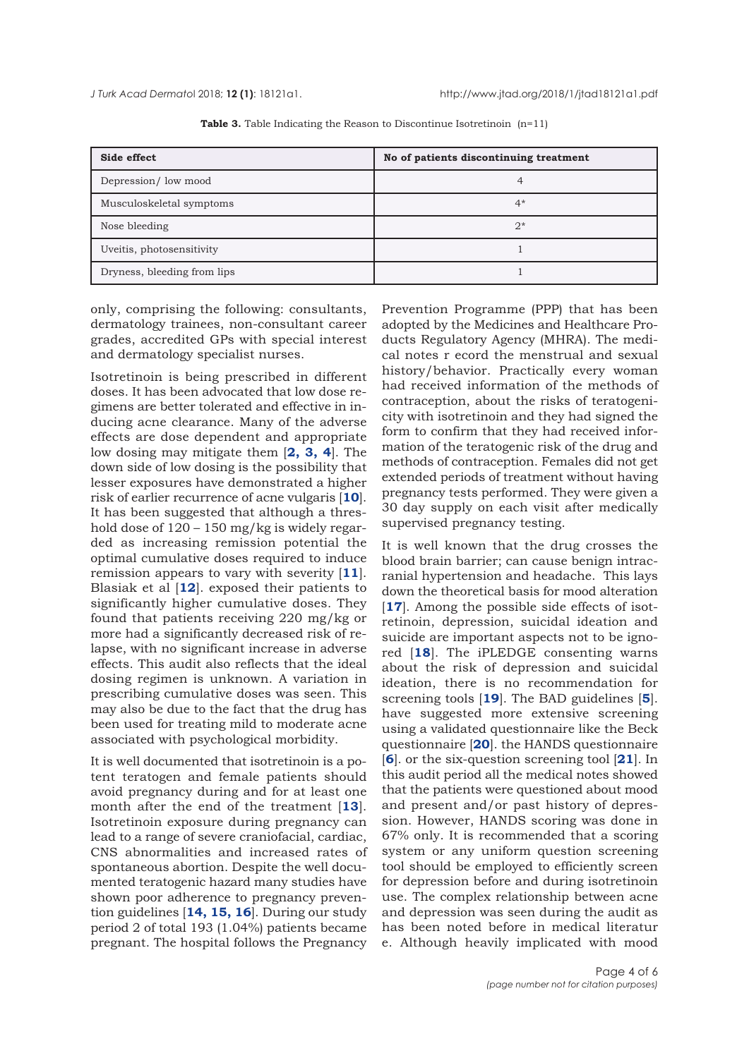<span id="page-3-0"></span>

| Side effect                 | No of patients discontinuing treatment |  |
|-----------------------------|----------------------------------------|--|
| Depression/low mood         | 4                                      |  |
| Musculoskeletal symptoms    | $4*$                                   |  |
| Nose bleeding               | $2*$                                   |  |
| Uveitis, photosensitivity   |                                        |  |
| Dryness, bleeding from lips |                                        |  |

**Table 3.** Table Indicating the Reason to Discontinue Isotretinoin (n=11)

only, comprising the following: consultants, dermatology trainees, non-consultant career grades, accredited GPs with special interest and dermatology specialist nurses.

Isotretinoin is being prescribed in different doses. It has been advocated that low dose regimens are better tolerated and effective in inducing acne clearance. Many of the adverse effects are dose dependent and appropriate low dosing may mitigate them [**[2, 3](#page-4-0), [4](#page-4-0)**]. The down side of low dosing is the possibility that lesser exposures have demonstrated a higher risk of earlier recurrence of acne vulgaris [**[10](#page-4-0)**]. It has been suggested that although a threshold dose of  $120 - 150$  mg/kg is widely regarded as increasing remission potential the optimal cumulative doses required to induce remission appears to vary with severity [**[11](#page-4-0)**]. Blasiak et al [**[12](#page-4-0)**]. exposed their patients to significantly higher cumulative doses. They found that patients receiving 220 mg/kg or more had a significantly decreased risk of relapse, with no significant increase in adverse effects. This audit also reflects that the ideal dosing regimen is unknown. A variation in prescribing cumulative doses was seen. This may also be due to the fact that the drug has been used for treating mild to moderate acne associated with psychological morbidity.

It is well documented that isotretinoin is a potent teratogen and female patients should avoid pregnancy during and for at least one month after the end of the treatment [**[13](#page-4-0)**]. Isotretinoin exposure during pregnancy can lead to a range of severe craniofacial, cardiac, CNS abnormalities and increased rates of spontaneous abortion. Despite the well documented teratogenic hazard many studies have shown poor adherence to pregnancy prevention guidelines [**[14](#page-4-0), [15, 16](#page-4-0)**]. During our study period 2 of total 193 (1.04%) patients became pregnant. The hospital follows the Pregnancy

Prevention Programme (PPP) that has been adopted by the Medicines and Healthcare Products Regulatory Agency (MHRA). The medical notes r ecord the menstrual and sexual history/behavior. Practically every woman had received information of the methods of contraception, about the risks of teratogenicity with isotretinoin and they had signed the form to confirm that they had received information of the teratogenic risk of the drug and methods of contraception. Females did not get extended periods of treatment without having pregnancy tests performed. They were given a 30 day supply on each visit after medically supervised pregnancy testing.

It is well known that the drug crosses the blood brain barrier; can cause benign intracranial hypertension and headache. This lays down the theoretical basis for mood alteration [[17](#page-4-0)]. Among the possible side effects of isotretinoin, depression, suicidal ideation and suicide are important aspects not to be ignored [**[18](#page-5-0)**]. The iPLEDGE consenting warns about the risk of depression and suicidal ideation, there is no recommendation for screening tools [**[19](#page-5-0)**]. The BAD guidelines [**[5](#page-4-0)**]. have suggested more extensive screening using a validated questionnaire like the Beck questionnaire [**[20](#page-5-0)**]. the HANDS questionnaire [**[6](#page-4-0)**]. or the six-question screening tool [**[21](#page-5-0)**]. In this audit period all the medical notes showed that the patients were questioned about mood and present and/or past history of depression. However, HANDS scoring was done in 67% only. It is recommended that a scoring system or any uniform question screening tool should be employed to efficiently screen for depression before and during isotretinoin use. The complex relationship between acne and depression was seen during the audit as has been noted before in medical literatur e. Although heavily implicated with mood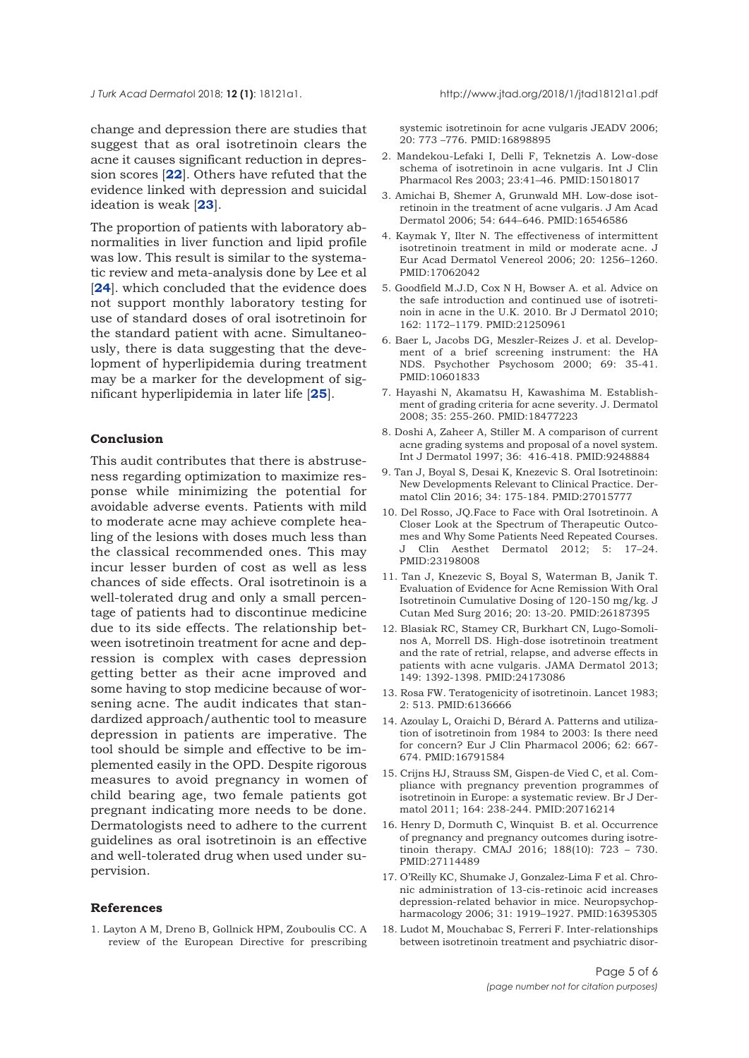<span id="page-4-0"></span>change and depression there are studies that suggest that as oral isotretinoin clears the acne it causes significant reduction in depression scores [**[22](#page-5-0)**]. Others have refuted that the evidence linked with depression and suicidal ideation is weak [**[23](#page-5-0)**].

The proportion of patients with laboratory abnormalities in liver function and lipid profile was low. This result is similar to the systematic review and meta-analysis done by Lee et al [[24](#page-5-0)]. which concluded that the evidence does not support monthly laboratory testing for use of standard doses of oral isotretinoin for the standard patient with acne. Simultaneously, there is data suggesting that the development of hyperlipidemia during treatment may be a marker for the development of significant hyperlipidemia in later life [**[25](#page-5-0)**].

# **Conclusion**

This audit contributes that there is abstruseness regarding optimization to maximize response while minimizing the potential for avoidable adverse events. Patients with mild to moderate acne may achieve complete healing of the lesions with doses much less than the classical recommended ones. This may incur lesser burden of cost as well as less chances of side effects. Oral isotretinoin is a well-tolerated drug and only a small percentage of patients had to discontinue medicine due to its side effects. The relationship between isotretinoin treatment for acne and depression is complex with cases depression getting better as their acne improved and some having to stop medicine because of worsening acne. The audit indicates that standardized approach/authentic tool to measure depression in patients are imperative. The tool should be simple and effective to be implemented easily in the OPD. Despite rigorous measures to avoid pregnancy in women of child bearing age, two female patients got pregnant indicating more needs to be done. Dermatologists need to adhere to the current guidelines as oral isotretinoin is an effective and well-tolerated drug when used under supervision.

#### **References**

1. Layton A M, Dreno B, Gollnick HPM, Zouboulis CC. A review of the European Directive for prescribing systemic isotretinoin for acne vulgaris JEADV 2006; 20: 773 –776. PMID:16898895

- 2. Mandekou-Lefaki I, Delli F, Teknetzis A. Low-dose schema of isotretinoin in acne vulgaris. Int J Clin Pharmacol Res 2003; 23:41–46. PMID:15018017
- 3. Amichai B, Shemer A, Grunwald MH. Low-dose isotretinoin in the treatment of acne vulgaris. J Am Acad Dermatol 2006; 54: 644–646. PMID:16546586
- 4. Kaymak Y, Ilter N. The effectiveness of intermittent isotretinoin treatment in mild or moderate acne. J Eur Acad Dermatol Venereol 2006; 20: 1256–1260. PMID:17062042
- 5. Goodfield M.J.D, Cox N H, Bowser A. et al. Advice on the safe introduction and continued use of isotretinoin in acne in the U.K. 2010. Br J Dermatol 2010; 162: 1172–1179. PMID:21250961
- 6. Baer L, Jacobs DG, Meszler-Reizes J. et al. Development of a brief screening instrument: the HA NDS. Psychother Psychosom 2000; 69: 35-41. PMID:10601833
- 7. Hayashi N, Akamatsu H, Kawashima M. Establishment of grading criteria for acne severity. J. Dermatol 2008; 35: 255-260. PMID:18477223
- 8. Doshi A, Zaheer A, Stiller M. A comparison of current acne grading systems and proposal of a novel system. Int J Dermatol 1997; 36: 416-418. PMID:9248884
- 9. Tan J, Boyal S, Desai K, Knezevic S. Oral Isotretinoin: New Developments Relevant to Clinical Practice. Dermatol Clin 2016; 34: 175-184. PMID:27015777
- 10. Del Rosso, JQ.Face to Face with Oral Isotretinoin. A Closer Look at the Spectrum of Therapeutic Outcomes and Why Some Patients Need Repeated Courses. J Clin Aesthet Dermatol 2012; 5: 17–24. PMID:23198008
- 11. Tan J, Knezevic S, Boyal S, Waterman B, Janik T. Evaluation of Evidence for Acne Remission With Oral Isotretinoin Cumulative Dosing of 120-150 mg/kg. J Cutan Med Surg 2016; 20: 13-20. PMID:26187395
- 12. Blasiak RC, Stamey CR, Burkhart CN, Lugo-Somolinos A, Morrell DS. High-dose isotretinoin treatment and the rate of retrial, relapse, and adverse effects in patients with acne vulgaris. JAMA Dermatol 2013; 149: 1392-1398. PMID:24173086
- 13. Rosa FW. Teratogenicity of isotretinoin. Lancet 1983; 2: 513. PMID:6136666
- 14. Azoulay L, Oraichi D, Bérard A. Patterns and utilization of isotretinoin from 1984 to 2003: Is there need for concern? Eur J Clin Pharmacol 2006; 62: 667- 674. PMID:16791584
- 15. Crijns HJ, Strauss SM, Gispen-de Vied C, et al. Compliance with pregnancy prevention programmes of isotretinoin in Europe: a systematic review. Br J Dermatol 2011; 164: 238-244. PMID:20716214
- 16. Henry D, Dormuth C, Winquist B. et al. Occurrence of pregnancy and pregnancy outcomes during isotretinoin therapy. CMAJ 2016; 188(10): 723 – 730. PMID:27114489
- 17. O'Reilly KC, Shumake J, Gonzalez-Lima F et al. Chronic administration of 13-cis-retinoic acid increases depression-related behavior in mice. Neuropsychopharmacology 2006; 31: 1919–1927. PMID:16395305
- 18. Ludot M, Mouchabac S, Ferreri F. Inter-relationships between isotretinoin treatment and psychiatric disor-